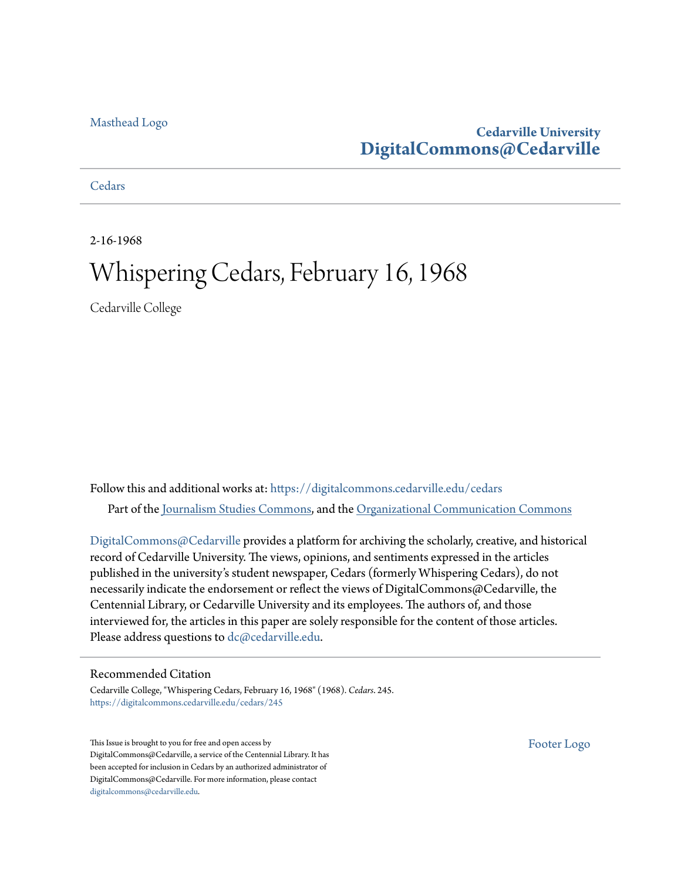### [Masthead Logo](http://www.cedarville.edu/?utm_source=digitalcommons.cedarville.edu%2Fcedars%2F245&utm_medium=PDF&utm_campaign=PDFCoverPages)

# **Cedarville University [DigitalCommons@Cedarville](https://digitalcommons.cedarville.edu?utm_source=digitalcommons.cedarville.edu%2Fcedars%2F245&utm_medium=PDF&utm_campaign=PDFCoverPages)**

### **[Cedars](https://digitalcommons.cedarville.edu/cedars?utm_source=digitalcommons.cedarville.edu%2Fcedars%2F245&utm_medium=PDF&utm_campaign=PDFCoverPages)**

2-16-1968

# Whispering Cedars, February 16, 1968

Cedarville College

Follow this and additional works at: [https://digitalcommons.cedarville.edu/cedars](https://digitalcommons.cedarville.edu/cedars?utm_source=digitalcommons.cedarville.edu%2Fcedars%2F245&utm_medium=PDF&utm_campaign=PDFCoverPages) Part of the [Journalism Studies Commons](http://network.bepress.com/hgg/discipline/333?utm_source=digitalcommons.cedarville.edu%2Fcedars%2F245&utm_medium=PDF&utm_campaign=PDFCoverPages), and the [Organizational Communication Commons](http://network.bepress.com/hgg/discipline/335?utm_source=digitalcommons.cedarville.edu%2Fcedars%2F245&utm_medium=PDF&utm_campaign=PDFCoverPages)

[DigitalCommons@Cedarville](http://digitalcommons.cedarville.edu/) provides a platform for archiving the scholarly, creative, and historical record of Cedarville University. The views, opinions, and sentiments expressed in the articles published in the university's student newspaper, Cedars (formerly Whispering Cedars), do not necessarily indicate the endorsement or reflect the views of DigitalCommons@Cedarville, the Centennial Library, or Cedarville University and its employees. The authors of, and those interviewed for, the articles in this paper are solely responsible for the content of those articles. Please address questions to [dc@cedarville.edu.](mailto:dc@cedarville.edu)

### Recommended Citation

Cedarville College, "Whispering Cedars, February 16, 1968" (1968). *Cedars*. 245. [https://digitalcommons.cedarville.edu/cedars/245](https://digitalcommons.cedarville.edu/cedars/245?utm_source=digitalcommons.cedarville.edu%2Fcedars%2F245&utm_medium=PDF&utm_campaign=PDFCoverPages)

This Issue is brought to you for free and open access by DigitalCommons@Cedarville, a service of the Centennial Library. It has been accepted for inclusion in Cedars by an authorized administrator of DigitalCommons@Cedarville. For more information, please contact [digitalcommons@cedarville.edu](mailto:digitalcommons@cedarville.edu).

[Footer Logo](http://www.cedarville.edu/Academics/Library.aspx?utm_source=digitalcommons.cedarville.edu%2Fcedars%2F245&utm_medium=PDF&utm_campaign=PDFCoverPages)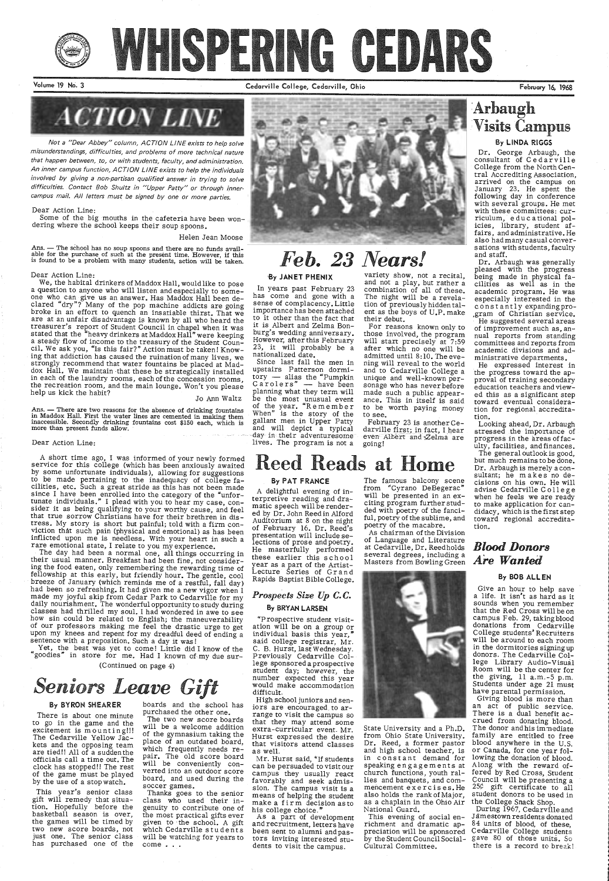

# WHSPERING GEDARS

Volume 19 No. 3 Cedarville College, Cedarville, Ohio

Not a "Dear Abbey" column, ACTION LINE exists to help solve misunderstandings, difficulties, and problems of more technical nature that happen between, to, or with students, faculty, and administration. An inner campus function, ACTION LINE exists to help the individuals involved by giving a non-partisan qualified answer in trying to solve difficulties. Contact Bob Shultz in "Upper Patty" or through innercampus mail. All letters must be signed by one or more parties.

### Dear Action Line:

Some of the big mouths in the cafeteria have been wondering where the school keeps their soup spoons.

### Helen Jean Moose

Ans. - The school has no soup spoons and there are no funds avail-The school has no soup spoons and the present time. However, if this able for the purchase of such at the present time. However, if this is found to be a problem with many students, action will be taken.

### Dear Action Line:

We, the habital drinkers of Maddox Hall, would like to pose <sup>a</sup>question to anyone who will listen and especially to someone who can give us an answer. Has Maddox Hall been de-<br>clared "dry"? Many of the pop machine addicts are going broke in an effort to quench an insatiable thirst. That we are at an unfair disadvantage is known by all who heard the treasurer's report of Student Council in chapel when it was stated that the "heavy drinkers at Maddox Hall" were keeping a steady flow of income to the treasury of the Student Coun-<br>cil. We ask you, "Is this fair?" Action must be taken! Know-<br>ing that addiction has caused the ruination of many lives, we strongly recommend that water fountains be placed at Maddox Hall. We maintain that these be strategically installed in each of the laundry rooms, each of the concession rooms, the recreation room, and the main lounge. Won'

### Jo Ann Waltz

Ans. Ans. — There are two reasons for the absence of drinking fountains in Maddox Hall. First the water lines are cemented in making them inaccessible. Secondly drinking fountains cost \$150 each, which is more than present funds allow.

### Dear Action Line:

A short time ago, I was informed of your newly formed<br>service for this college (which has been anxiously awaited<br>by some unfortunate individuals), allowing for suggestions<br>to be made pertaining to the inadequacy of college since I have been enrolled into the category of the "unfor-tunate individuals." I plead with you to hear my case, consider it as being qualifying to your worthy cause, and feel that true sorrow Christians have for their brethren in dis-<br>tress. My story is short but painful; told with a firm conviction that such pain (physical and emotional) as has been inflicted upon me is needless. With your heart in such a rare emotional state, I relate to you my experience.

The day had been a normal one, all things occurring in<br>their usual manner. Breakfast had been fine, not consider-<br>ing the food eaten, only remembering the rewarding time of<br>fellowship at this early, but friendly hour. The

upon me and reposition. Such a day it was!<br> Yet, the best was yet to come! Little did I know of the "goodies" in store for me. Had I known of my due sur-

Thanks goes to the senior class who used their ingenuity to contribute one of the most practical gifts ever<br>given to the school. A gift <sup>g</sup>iven to · the school. A gift which Cedarville st u dents will be watching for years to  $come \ldots$ 

student day; however, the<br>number expected this year would make accommodation difficult.

(Continued on page 4)



his college choice."<br>As a part of development<br>and recruitment, letters have been sent to alumni and pastors inviting interested students to visit the campus.



### By BYRON SHEARER

The famous balcony scene<br>from "Cyrano DeBegerac" will be presented in an exciting program further studded with poetry of the fanciful, poetry of the sublime, and poetry of the macabre.

As chairman of the Division of Language and Literature at Cedarville, Dr. Reed holds several degrees, including a<br>Masters from Bowling Green



# $S$ *eniors Leave Gift*

There is about one minute to go in the game and the excitement is mounting!!!<br>The Cedarville Yellow Jackets and the opposing team are tied!! All of a sudden the officials call a time out. The clock has stopped!! The rest of the game must be played by the use of a stop watch.

This year's senior class gift will remedy that situa tion. Hopefully before the basketball season is over, the games will be timed by two new score boards, not just one. The senior class has purchased one of the

boards and the school has purchased the other one.

The two new score boards will be a welcome addition of the gymnasium taking the place of an outdated board, which frequently needs repair. The old score board will be conveniently con verted into an outdoor score board, and used during the soccer games.

of improvement such as, an-<br>nual reports from standing committees and reports from academic divisions and administrative departments.

He expressed interest in<br>the progress toward the approval of training secondary<br>education teachers and viewed this as a significant step toward eventual consideration for regional accreditation.

# *Feb. 23 Nears!*

## '8y JANET PHENIX

In years past February 23 has come and gone with a importance has been attached to it other than the fact that it is Albert and Zelma Bonburg's wedding anniversary. However, after this February 23, it will probably be a nationalized date.

Since last fall the men in upstairs Patterson dormi $tory$  - alias the "Pumpkin" have been planning what they term will be the most unusual event of the year. "Remember When" is the story of the gallant men in Upper Patty and will depict a typical · day in their adventuresome lives. The program is not a

> richment and dramatic ap- <sup>84 units of blood, of these,</sup><br>preciation will be sponsored Cedarville College students Give an hour to help save <sup>a</sup>life. It isn't as hard as it sounds when you remember that the Red Cross will be on campus Feb. 29, takingblood donations from Cedarville College students' Recruiters will be around to each room in the dormitories signing up donors. The Cedarville College Library Audio-VisuaJ Room will be the center for the giving, 11 a.m.-5 p.m. Students under age 21 must have parental permission. Giving blood is more than an act of public service. There is a dual benefit accrued from donating blood. The donor and his immediate family are entitled to free blood anywhere in the U.S.<br>or Canada, for one year following the donation of blood. Along with the reward offered by Red Cross, Student 25¢ gift certificate to all student donors to be used in the College Snack Shop. During 1967, Cedarville and Jamestown residents donated 84 units of blood, of these, gave 80 of those units. So there is a record to break!

variety show, not a recital, and not a play, but rather <sup>a</sup> combination of all of these. The night will be a revelation of previously hidden talent as the boys of U.P. make their debut.

For reasons known only to those involved, the program will start precisely at 7:59 after which no one will be admitted until 8: 10. The evening will reveal to the world<br>and to Cedarville College a unique and well-known personage who has neverbefore made such a public appearance. This in itself is said to be worth paying money to see.

February 23 is anotherCedarville first; in fact, I hear even Albert and Zelma are going!

Reed Reads at Home

### By PAT FRANCE

A delightful evening of in terpretive reading and dramatic speech will be rendered by Dr. John Reed in Alford Auditorium at 8 on the night of February 16. Dr. Reed's<br>presentation will include selections of prose and poetry.<br>He masterfully performed these earlier this school year as a part of the Artist-Lecture Series of Grand Rapids Baptist Bible College.

# *Prospects Size Up C. C.*  By BRYAN LARSEN

"Prospective student visitation will be on a group or individual basis this year," said college registrar, Mr.<br>C. B. Hurst, last Wednesday. Previously Cedarville College sponsored a prospective

High school juniors and sen iors are encouraged. to arrange to visit the campus so that they may attend some extra-curricular event. Mr. Hurst expressed the desire that visitors attend classes as well.

Mr. Hurst said, "If students can be persuaded to visit our campus they usually react favorably and seek admission. The campus visit is <sup>a</sup> means of helping the student make a firm decision as to State University and a Ph.D. from Ohio State University.<br>Dr. Reed, a former pastor and high school teacher, is in constant demand for speaking engagements at church functions, youth rallies and banquets, and commencement exercises.He also holds the rank of Major, as a chaplain in the Ohio Air National Guard.

 This evening of social enby the Student Council Social-Cultural Committee.

February 16, 1968



# :Arbaugh Visits Campus By LINDA RIGGS

Dr. George Arbaugh, the consultant of Cedarville

College from the North Central Accrediting Association, arrived on the campus on<br>January 23. He spent the January 23. He spent the following day in conference with several groups. He met with these committees: curriculum, educational pol- icies, library, student affairs, and administrative. He also had many casual conversations with students, faculty and staff.

Dr. Arbaugh was generally <sup>p</sup>leased with the progress being made in physical fa cilities as well as in the academic program. He was especially interested in the constantly expanding pro-,gram of Christian service. He suggested several areas

 Looking ahead, Dr. Arbaugh stressed the importance of progress in the areas offaculty, facilities, and finances.

The general outlook is good, but much remains to be done. Dr. Arbaugh is merely <sup>a</sup>con- sultant; he makes no decisions on his own. He will advise Cedarville College<br>when he feels we are ready to make application for candidacy, which is the first step toward regional accreditation.

# *Blood Donors Are Wanted*

### By BOB ALLEN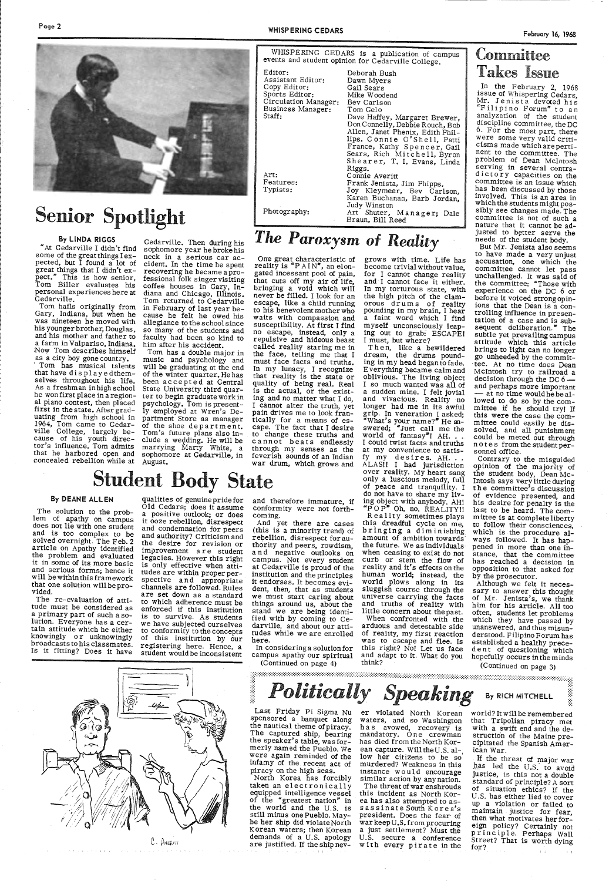# Senior Spotlight

### By LINDA RIGGS

"At Cedarville I didn't find pected, but  $\check{I}$  found a lot of great things that I didn't ex pect." This is how senior, Tom Biller evaluates his personal experiences here at Cedarville.

Tom hails originally from Gary, Indiana, but when he was nineteen he moved with his younger brother, Douglas, and his mother and father to Now Tom describes himself as a city boy gone country. ' Tom has musical talents

that have displayedthem-<br>selves throughout his life.<br>As a freshman in high school<br>he won first place in a region-<br>al piano contest, then placed<br>first in the state. After grad-<br>uating from high school in<br>1964, Tom came to C ville College, largely because of his youth direc tor's influence. Tom admits marrying Marty White, a uating from high school in partment Store as manager 1964, Tom came to Cedar- of the shoe department, while College, largely be- Tom's future plans also in-<br>cause of his youth direc- clude a wedding. He will be tor's influ

Cedarville. Then during his sophomore year he broke his neck in a serious car accident. In the time he spent recovering he became a pro-<br>fessional folk singer visiting coffee houses in Gary, In-<br>diana and Chicago, Illinois.<br>Tom returned to Cedarville in February of last year because he felt he owed his allegiance to the school since so many of the students and faculty had been so kind to him after his accident.<br>Tom has a double major in

music and psychology and will be graduating at the end of the winter quarter. He has been accepted at Central State University third quarter to begin graduate work in psychology. Tom is present-<br>ly employed at Wren's De-August.

One great characteristic of<br>reality is "PAIN", an elongated incessant pool of pain, that cuts off my air of life, bringing a void which will never be filled. I look for an escape, like a child running to his benevolent mother who waits with compassion and susceptibility. At first I find<br>no escape, instead, only a repulsive and hideous beast called reality staring me in the face, telling me that <sup>I</sup> must face facts and truths. In my lunacy, I recognize that reality is the state or quality of being real. Real is the actual, or the existing and no matter what I do, pain drives me to look frantically for <sup>a</sup>means of escape. The fact that I desire to change these truths and<br>cannot beats endlessly through my senses as the feverish sounds of an Indian war drum, which grows and

Mike Woodend

grows with time. Life has<br>become trivial without value. for I cannot change reality and I cannot face it either. In my torturous state, with the high pitch of the clamorous drums of reality pounding in my brain, I hear <sup>a</sup>faint word which I find myself unconsciously leap- ing out to grab: ESCAPE I I must, but where?

Then, like a bewildered<br>dream, the drums pounddream, the drums pound-<br>ing in my head beganto fade.<br>Everything became calm and oblivious. The living object<br>I so much wanted was all of <sup>a</sup>sudden mine. I felt jovial and vivacious. Reality no longer had me in its awful grip. In veneration I asked;<br>"What's your name?" He answered; "Just call me the world of fantasy"! AH. . .<br>I could twist facts and truths at my convenience to satis-

State<br>By DEANE ALLEN qualities of genuine pride for and therefore immature, if ing object and tranquility. I<br>The solution to the prob-<br>a positive outlook; or does the conformity were not forth-<br>lem of apathy on campus it o fy my des ires. AH. . . ALAS!! I had jurisdiction<br>over reality. My heart sang

 $R^{\text{P}}$  OP<sup>\*</sup> Oh, no, REALITY!!<br>Reality sometimes plays<br>this dreadful cycle on me,<br>bringing a diminishing amount of ambition towards the future. we as individuals when ceasing to exist do not curb or stem the flow of reality and it's effects on the human world; instead, the<br>world plows along in its sluggish course through the<br>universe carrying the facts<br>and truths of reality with<br>little concern about the past.<br>When confronted with the



lips, Connie O'Shell, Patti

Sears, Rich Mitchell, Byron<br>Shearer, T. I. Evans, Linda<br>Riggs.

does not lie with one student<br>and is too complex to be<br>solved overnight. The Feb. 2 article on Apathy identified the problem and evaluated it in some of its more basic and serious forms; hence it will be within this framework that one solution will be pro- vided.

*The Paroxysm of Reality* 

and therefore immature, if conformity were not forth coming.<br>And yet there are cases

(this is a minority trend) of rebellion, disrespect for au-<br>thority and peers, rowdism, and negative outlooks on campus. Not every student<br>at Cedarville is proud of the institution and the principles<br>it endorses. It becomes evident, then, that as students<br>we must start caring about things around us, about the stand we are being identi- fied with by coming to Ce- darville, and about our attitudes while we are enrolled here.

North Korea has forcibly<br>taken an electronically<br>equipped intelligence vessel<br>of the "greatest nation" in the world and the U.S. is still minus one Pueblo. May- be her ship did violate North Korean waters; then Korean demands of a U.S. apology are justified. If the ship nev-

er violated North Korean waters, and so Washington<br>has avowed, recovery is<br>mandatory. One crewman has died from the North Kor ean capture. Will the U.S. al-. low her citizens to be so murdered? Weakness in this instance would encourage<br>similar action by anynation.<br>The threat of war enshrouds this incident as North Kor ea has also attempted to as- sassinate South Korea's president. Does the fear· of war keep U.S. from procuring a just settlement? Must the U.S. secure a conference with every pirate in the

# Comrnittee Takes Issue

In the February 2, 1968<br>issue of Whispering Cedars,<br>Mr. Jenista devoted his "Filipino Forum" to an analyzation of the student discipline committee, the DC 6. For the most part, there<br>were some very valid criticisms made which are pertinent to the committee. The problem of Dean Mcintosh serving in several contradictory capacities on the committee is an issue which involved. This is an area in<br>which the students might possibly see changes made. The committee is not of such <sup>a</sup> nature that it cannot be adjusted to better serve the needs of the student body. But Mr. Jenista also seems

to have made a very unjust<br>accusation, one which the committee cannot let pass unchallenged. It was said of the committee: "Those with experience on the DC 6 or<br>before it voiced strong opinions that the Dean is a controlling influence in presen- tation of a case and is subsequent deliberation." The subtle yet prevailingcampus attitude which this article brings to light can no longer go unheeded by the commit tee. At no time does Dean Mcintosh try to railroad <sup>a</sup> decision through the  $DC 6$  - and perhaps more important - at no time would he be allowed to do so by the com-<br>mittee if he should try! If<br>this were the case the com-<br>mittee could easily be dissolved, and all punishment could be meted out through notes from the student per- sonnel office.

The re-evaluation of attitude must be considered as<br>a primary part of such a solution. Everyone has a cer-<br>tain attitude which he either<br>knowingly or unknowingly broadcasts to his classmates. Is it fitting? Does it have

Contrary to the misguided<br>opinion of the majority of the student body, Dean Mc-<br>Intosh says very little during<br>the committee's discussion<br>of evidence presented, and his desire for penalty is the last to be heard. The committee is at complete liberty to follow their consciences, which is the procedure always followed. It has hap- pened in more than one instance, that the committee has reached a decision in opposition to that asked for by the prosecutor.

Although we felt it neces-<br>sary to answer this thought of Mr. Jenista's, we thank him for his article. All too often, students let problems which they have passed by unanswered, and thus misunderstood. Filipino Forum has<br>established a healthy prece-<br>dent of questioning which<br>hopefully occurs in the minds

world? It will be remembered that Tripolian piracy met with a swift end and the destruction of the Maine pre-<br>cipitated the Spanish Amer-<br>ican War.

If the threat of major war \_l].\_as led the *U.s:* to avoid justice, is this not a double standard of principle? A sort of situation ethics? If the U.S. has either lied to cover up a violation or failed to maintain justice for fear,<br>then what motivates her for-<br>eign policy? Certainly not principle. Perhaps Wall<br>Street? That is worth dying<br>for?

qualities of genuinepridefor Old Cedars; does it assume a positive outlook; or does<br>it ooze rebellion, disrespect and condemnation for peers<br>and authority? Criticism and<br>the desire for revision or improvement are student legacies. However this right is only effective when attitudes are within proper per- spective and appropriate channels are followed. Rules are set down as a standard to which adherence must be enforced if this institution is to survive. As students we have subjected ourselves to conformity to the concepts of this institution by our registering here. Hence, a student would be inconsistent

In considering a solution for campus apathy our spiritual



(Continued on page 4) think? (Continued on page 3)<br> **Politically Speaking** By Rich MITCHELL

Last Friday Pi Sigma Nu<br>sponsored a banquet along<br>the nautical theme of piracy.<br>The captured ship, bearing<br>the speaker's table, was formerly named the Pueblo. We were again reminded of the infamy of the recent act of<br>piracy on the high seas.

arduous and detestable side of reality, my first reaction<br>was to escape and flee. Is this right? No! Let us face and adapt to it. What do you think?

(Continued on page 3)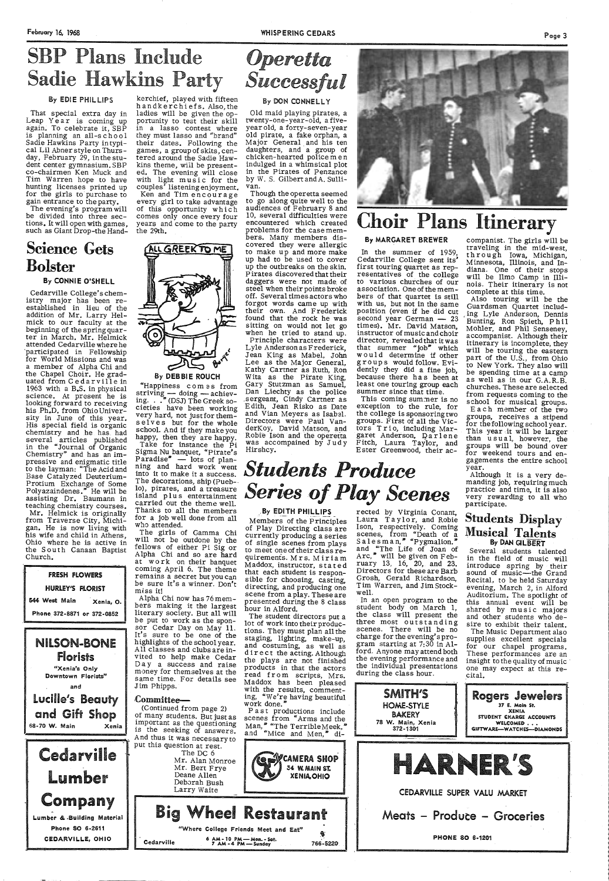That special extra day in Leap Year is coming up again. To celebrate it, SBP is planning an all-school<br>Sadie Hawkins Party intypical Lil Abner style on Thursday, February 29, in the student center gymnasium. SBP co-chairmen Ken Muck and Tim Warren hope to have<br>hunting licenses printed up for the girls to purchase to gain entrance to the party.

# SBP Plans Include Sadie Hawkins Party

# *Operetta Success l*

### By EDIE PHILLIPS

The evening's program will be divided into three sections. It will open with games, such as Giant Drop-the Hand-

# Science Gets Bolster

### By CONNIE O'SHELL

NILSON-BONE Florists

Cedarville College's chemistry major has been reestablished in lieu of the addition of Mr. Larry Hel mick to our faculty at the beginning of the spring quarter in March. Mr. Helmick attended Cedarville where he ·participated in Fellowship for World Missions and was <sup>a</sup>member of Alpha Chi and the Chapel Choir. He grad uated from C e d a r vi 11 e in 1963 with a B.S. in physical science. At present he is looking forward to receiving his Ph.D. from Ohio University in June of this year.<br>His special field is organic chemistry and he has had several articles published<br>in the "Journal of Organic Chemistry" and has an im-<br>pressive and enigmatic title to the layman: "The Acid and Base Catalyzed Deuterium-Protium Exchange of Some Polyazaindenes." He will be assisting Dr. Baumann in teaching chemistry courses. Mr. Helmick is originally from Traverse City, Michihis wife and child in Athens, Ohio where he is active in the South Canaan Baptist Church.

| <b>FRESH FLOWERS</b>       |           |
|----------------------------|-----------|
| HURLEY'S PLORIST           |           |
| 544 West Main              | Xenia, O. |
| Phone 372-8871 or 372-0852 |           |

kerchief, played with fifteen handkerchiefs. Also, the ladies will be given the opportunity to test their skill in a lasso contest where they must lasso and "brand" their dates. Following the games, <sup>a</sup>group of skits, centered around the Sadie Hawkins theme, wiil be presented. The evening will close with light music for the couples' listening enjoyment. Ken and Tim encourage every girl to take advantage of this opportunity which comes only once every four years and come to the party

> This coming summer is no exception to the rule, for the college is sponsoring two groups. First of all the Victors T r i o, including Margaret Anderson, Darlene Fitch, Laura Taylor, and Ester Greenwood, their ac-

the 29th.



### By DON CONNELLY

Old maid playing pirates, a twenty-one-year-old, a fiveyear old, a forty-seven-year old pirate, a fake orphan, a Major General and his ten<br>daughters, and a group of chicken-hearted policemen indulged in a whimsical plot in the Pirates of Penzance by W. S. GilbertandA. Sullivan.

striving  $-$  doing  $-$  achiev-<br>ing. . . . (DSJ) The Greek societies have been working very hard, not just for themselves but for the whole school. And if they make you happy, then they are happy. happy, then they are happy.<br>Take for instance the Pi Sigma Nu banquet, "Pirate's<br>Paradise" — lots of planning and hard work went into it to make it a success. The decorations, ship (Pueb-· lo), pirates, and a treasure island plus entertainment carried out the theme well. Thanks to all the members for a job well done from all who attended.

Each member of the two groups, receives a stipend for the following school year.<br>This year it will be larger<br>than usual, however, the groups will be bound over for weekend tours and engagements the entire school

year.<br>Although it is a very demanding job, requiring much practice and time, it is also very rewarding to all who participate.

The girls of Gamma Chi fellows of either Pi Sig or<br>Alpha Chi and so are hard at work on their banquet coming April 6. The theme<br>remains a secret but you can remains a secret but you can be sure it's a winner. Don't miss it!

Alpha Chi now has 76 memliterary society. But all will be put to work as the sponsor Cedar Day on May 11. It's sure to be one of the highlights of the school year. All classes and clubs are invited to help make Cedar Day a success and raise

Though the operetta seemed to go along quite well to the audiences of February 8 and 10, several difficulties were encountered which created problems for the case members. Many members discovered they were allergic to make up and more make up had to be used to cover up the outbreaks on the skin. Pirates discovered that their daggers were not made of steel when their points broke off. Several times actors who forgot words came up with their own. And Frederick found that the rock he was sitting on would not let go when he tried to stand up.<br>Principle characters were Lyle Anderson as Frederick, Jean King as Mabel, John Lee as the Major General, Kathy Cartner as Ruth, Ron Wita as the Pirate King, Gary Stutzman as Samuel, Dan Liechty as the police .sergeant, Cindy Cartner as Edith, Jean Risko as Date and Vian Meyers as Isabel. Directors were Paul VanderKoy, David Matson, and Robfe Ison and the operetta was accompained by Judy Hirshcy.



The student directors put <sup>a</sup>lot of work into their productions. They must plan all the staging, lighting, make-up, and costuming, as well as d ir ect the acting. Although<br>the plays are not finished

By EDITH PHILLIPS

# Choir Plans Itinerary

### By MARGARET BREWER

Laura Taylor, and Robie Students  $\text{Display}$ Ison, respectively. Coming scenes, from "Death of <sup>a</sup> <code>Salesman, $^{\text{\textsf{P}}}$ "Pygmalion."</code> and "The Life of Joan of Arc," will be given on February 13, 16, 20, and 23. Directors for these are Barb Grosh, Gerald Richardson, Tim Warren, and Jim Stockwell.

In the summer of 1959, Cedarville College sent its' first touring quartet as rep resentatives of the college to various churches of our association. One of the mem bers of that quartet is still with us, but not in the same position (even if he did cut second year German  $- 23$ times). Mr. David Matson, instructor of music and choir director, revealed that it was that summer "job" which w ould determine if other groups would follow. Evidently they did a fine job, because there has been at least one touring group each summer since that time.

> The Music Department also<br>supplies excellent specials for our chapel programs. These performances are an insight to the quality of music ·



companist. The girls will be traveling in the mid-west,<br>through Iowa, Michigan, Minnesota, Illinois, and Indiana. One of their stops will be Ilmo Camp in Illi nois. Their itinerary is not complete at this time.

Also touring will be the Guardsmen Quartet includ- , ing Lyle Anderson, Dennis Bunting, Ron Spieth, Phil Mohler, and Phil Senseney, accompanist. Although their itinerary is incomplete, they will be touring the eastern part of the U.S., from Ohio<br>to New York. They also will be spending time at a camp as well as in our G.A.R.B. churches. These are selected from requests coming to the school for musical groups.

*Series of Play Scenes*  Members of the Principles of Play Directing class are currently producing a series of single scenes from plays rected by Virginia Conant,

to meet one of their class requirements. Mrs. Miriam Maddox, instructor, stated<br>that each student is responsible for choosing, casting, directing, and producing one scene from a play. Theseare presented during the 8 class hour in Alford.

**Students Produce** 

In an open program to the student body on March 1, the class will present the three most outstanding scenes. There will be no charge for the evening's program starting at 7:30 in Alford. Anyone may attend both the evening performance and the individual presentations

# Musical Talents By DAN GILBERT

Several students talented in the field of music will introduce spring by their<br>sound of music-the Grand Recital, to be held Saturday evening, March 2, in Alford Auditorium. The spotlight of<br>this annual event will be<br>shared by music majors this annual event will be and other students who desire to exhibit their talent.